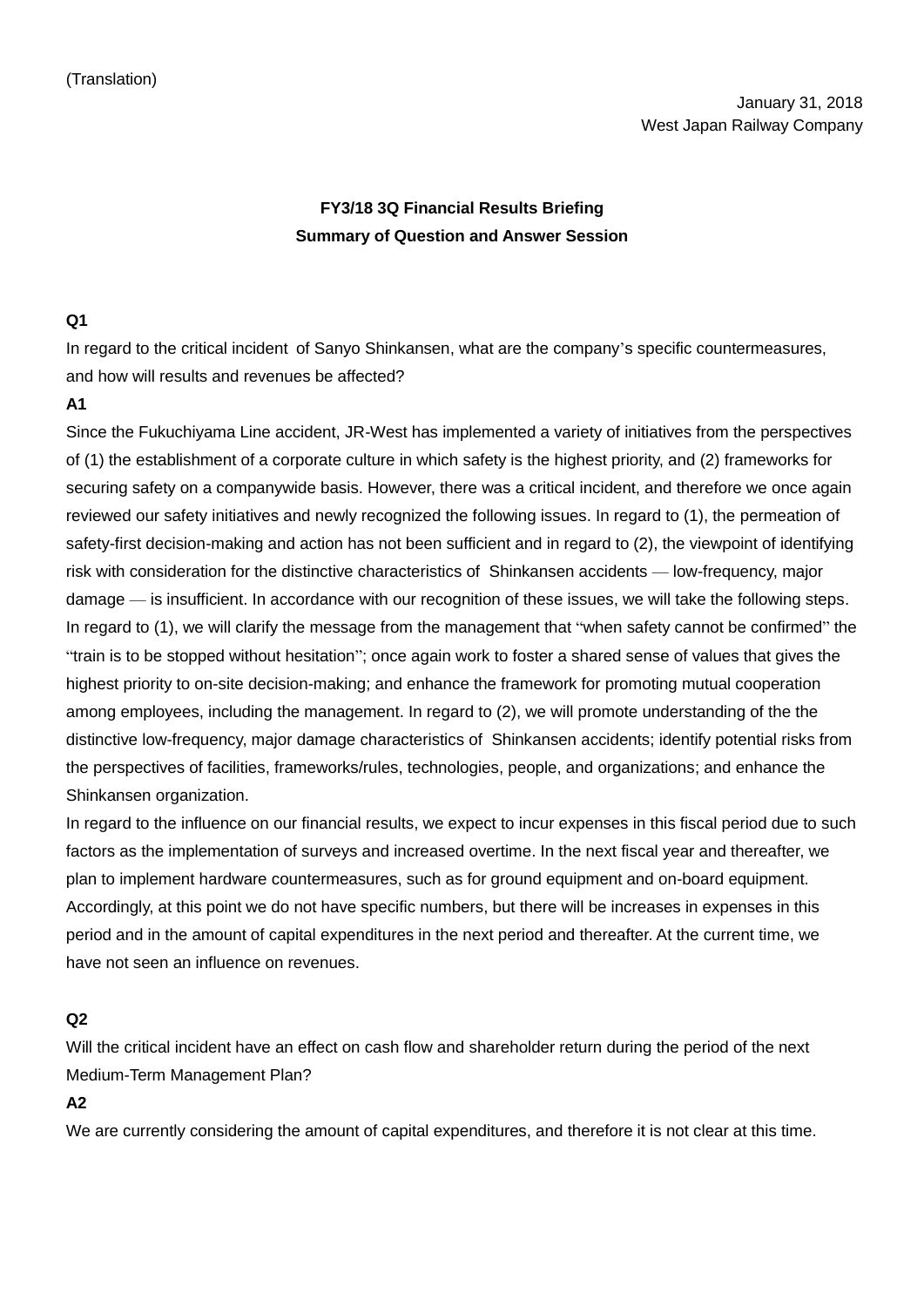# **FY3/18 3Q Financial Results Briefing Summary of Question and Answer Session**

# **Q1**

In regard to the critical incident of Sanyo Shinkansen, what are the company's specific countermeasures, and how will results and revenues be affected?

# **A1**

Since the Fukuchiyama Line accident, JR-West has implemented a variety of initiatives from the perspectives of (1) the establishment of a corporate culture in which safety is the highest priority, and (2) frameworks for securing safety on a companywide basis. However, there was a critical incident, and therefore we once again reviewed our safety initiatives and newly recognized the following issues. In regard to (1), the permeation of safety-first decision-making and action has not been sufficient and in regard to (2), the viewpoint of identifying risk with consideration for the distinctive characteristics of Shinkansen accidents — low-frequency, major damage — is insufficient. In accordance with our recognition of these issues, we will take the following steps. In regard to (1), we will clarify the message from the management that "when safety cannot be confirmed" the "train is to be stopped without hesitation"; once again work to foster a shared sense of values that gives the highest priority to on-site decision-making; and enhance the framework for promoting mutual cooperation among employees, including the management. In regard to (2), we will promote understanding of the the distinctive low-frequency, major damage characteristics of Shinkansen accidents; identify potential risks from the perspectives of facilities, frameworks/rules, technologies, people, and organizations; and enhance the Shinkansen organization.

In regard to the influence on our financial results, we expect to incur expenses in this fiscal period due to such factors as the implementation of surveys and increased overtime. In the next fiscal year and thereafter, we plan to implement hardware countermeasures, such as for ground equipment and on-board equipment. Accordingly, at this point we do not have specific numbers, but there will be increases in expenses in this period and in the amount of capital expenditures in the next period and thereafter. At the current time, we have not seen an influence on revenues.

# **Q2**

Will the critical incident have an effect on cash flow and shareholder return during the period of the next Medium-Term Management Plan?

**A2**

We are currently considering the amount of capital expenditures, and therefore it is not clear at this time.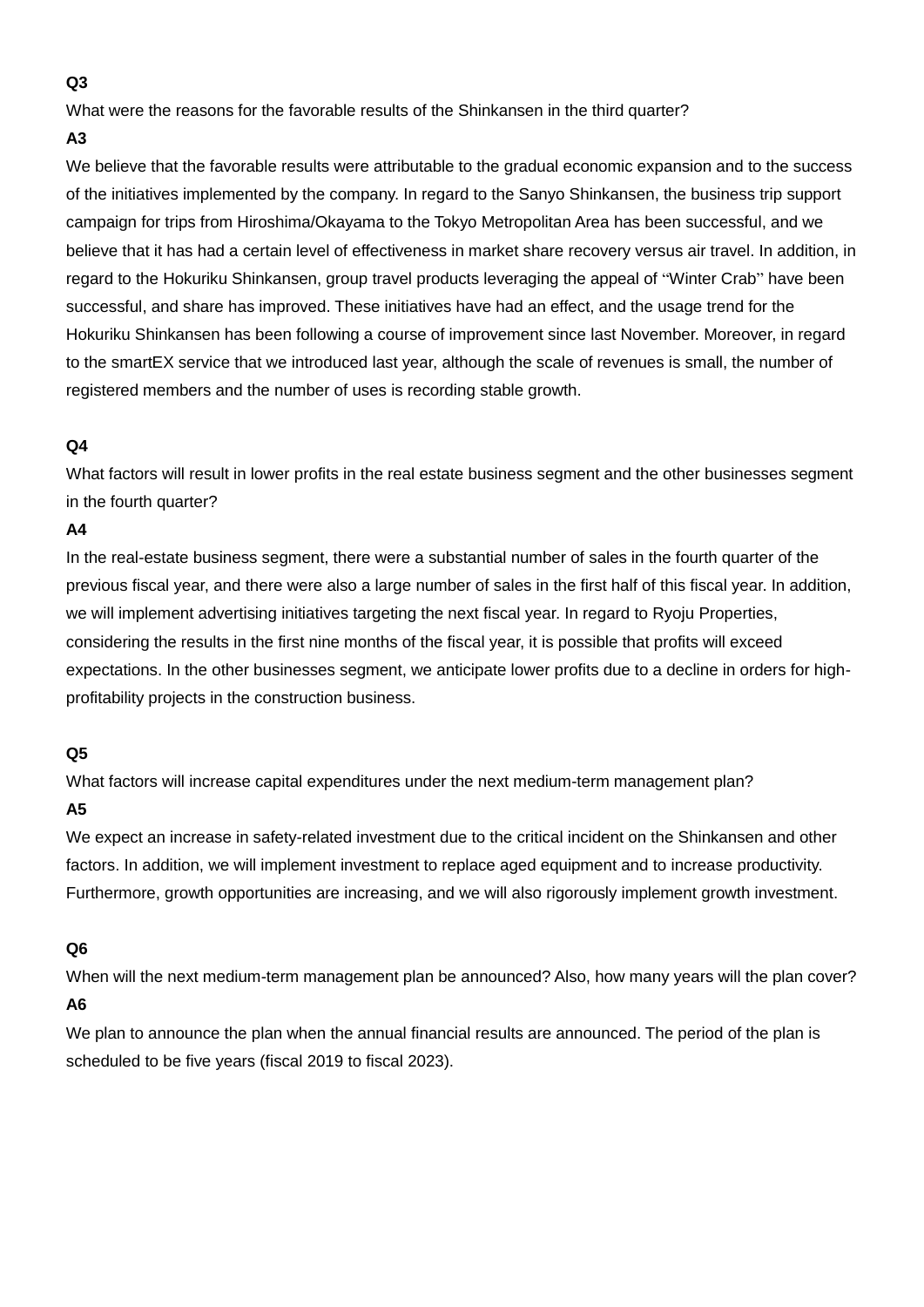#### **Q3**

What were the reasons for the favorable results of the Shinkansen in the third quarter?

#### **A3**

We believe that the favorable results were attributable to the gradual economic expansion and to the success of the initiatives implemented by the company. In regard to the Sanyo Shinkansen, the business trip support campaign for trips from Hiroshima/Okayama to the Tokyo Metropolitan Area has been successful, and we believe that it has had a certain level of effectiveness in market share recovery versus air travel. In addition, in regard to the Hokuriku Shinkansen, group travel products leveraging the appeal of "Winter Crab" have been successful, and share has improved. These initiatives have had an effect, and the usage trend for the Hokuriku Shinkansen has been following a course of improvement since last November. Moreover, in regard to the smartEX service that we introduced last year, although the scale of revenues is small, the number of registered members and the number of uses is recording stable growth.

# **Q4**

What factors will result in lower profits in the real estate business segment and the other businesses segment in the fourth quarter?

# **A4**

In the real-estate business segment, there were a substantial number of sales in the fourth quarter of the previous fiscal year, and there were also a large number of sales in the first half of this fiscal year. In addition, we will implement advertising initiatives targeting the next fiscal year. In regard to Ryoju Properties, considering the results in the first nine months of the fiscal year, it is possible that profits will exceed expectations. In the other businesses segment, we anticipate lower profits due to a decline in orders for highprofitability projects in the construction business.

#### **Q5**

What factors will increase capital expenditures under the next medium-term management plan?

# **A5**

We expect an increase in safety-related investment due to the critical incident on the Shinkansen and other factors. In addition, we will implement investment to replace aged equipment and to increase productivity. Furthermore, growth opportunities are increasing, and we will also rigorously implement growth investment.

#### **Q6**

When will the next medium-term management plan be announced? Also, how many years will the plan cover?

# **A6**

We plan to announce the plan when the annual financial results are announced. The period of the plan is scheduled to be five years (fiscal 2019 to fiscal 2023).